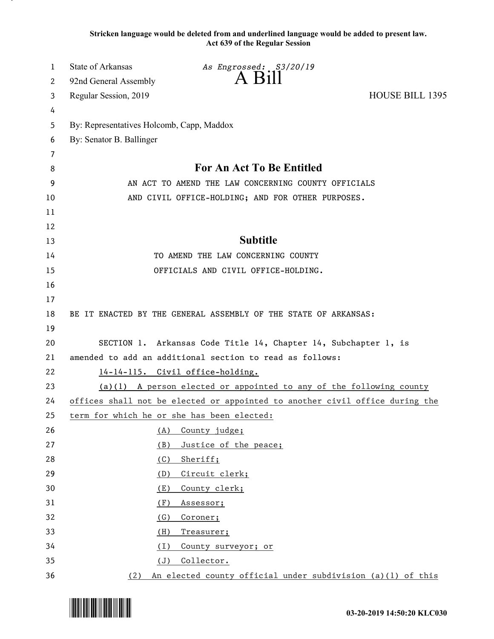**Stricken language would be deleted from and underlined language would be added to present law. Act 639 of the Regular Session**

| 1  | <b>State of Arkansas</b>                            | As Engrossed: S3/20/19                                                       |                        |
|----|-----------------------------------------------------|------------------------------------------------------------------------------|------------------------|
| 2  | 92nd General Assembly                               | A B111                                                                       |                        |
| 3  | Regular Session, 2019                               |                                                                              | <b>HOUSE BILL 1395</b> |
| 4  |                                                     |                                                                              |                        |
| 5  | By: Representatives Holcomb, Capp, Maddox           |                                                                              |                        |
| 6  | By: Senator B. Ballinger                            |                                                                              |                        |
| 7  |                                                     |                                                                              |                        |
| 8  |                                                     | For An Act To Be Entitled                                                    |                        |
| 9  | AN ACT TO AMEND THE LAW CONCERNING COUNTY OFFICIALS |                                                                              |                        |
| 10 | AND CIVIL OFFICE-HOLDING; AND FOR OTHER PURPOSES.   |                                                                              |                        |
| 11 |                                                     |                                                                              |                        |
| 12 |                                                     |                                                                              |                        |
| 13 |                                                     | <b>Subtitle</b>                                                              |                        |
| 14 |                                                     | TO AMEND THE LAW CONCERNING COUNTY                                           |                        |
| 15 |                                                     | OFFICIALS AND CIVIL OFFICE-HOLDING.                                          |                        |
| 16 |                                                     |                                                                              |                        |
| 17 |                                                     |                                                                              |                        |
| 18 |                                                     | BE IT ENACTED BY THE GENERAL ASSEMBLY OF THE STATE OF ARKANSAS:              |                        |
| 19 |                                                     |                                                                              |                        |
| 20 |                                                     | SECTION 1. Arkansas Code Title 14, Chapter 14, Subchapter 1, is              |                        |
| 21 |                                                     | amended to add an additional section to read as follows:                     |                        |
| 22 |                                                     | 14-14-115. Civil office-holding.                                             |                        |
| 23 |                                                     | $(a)(1)$ A person elected or appointed to any of the following county        |                        |
| 24 |                                                     | offices shall not be elected or appointed to another civil office during the |                        |
| 25 | term for which he or she has been elected:          |                                                                              |                        |
| 26 | (A)                                                 | County judge;                                                                |                        |
| 27 | (B)                                                 | Justice of the peace;                                                        |                        |
| 28 | (C)                                                 | Sheriff;                                                                     |                        |
| 29 | (D)                                                 | Circuit clerk;                                                               |                        |
| 30 | (E)                                                 | County clerk;                                                                |                        |
| 31 | (F)                                                 | <u>Assessor;</u>                                                             |                        |
| 32 | (G)                                                 | Coroner;                                                                     |                        |
| 33 | (H)                                                 | <u>Treasurer;</u>                                                            |                        |
| 34 | (1)                                                 | County surveyor; or                                                          |                        |
| 35 | (J)                                                 | Collector.                                                                   |                        |
| 36 | (2)                                                 | An elected county official under subdivision $(a)(1)$ of this                |                        |

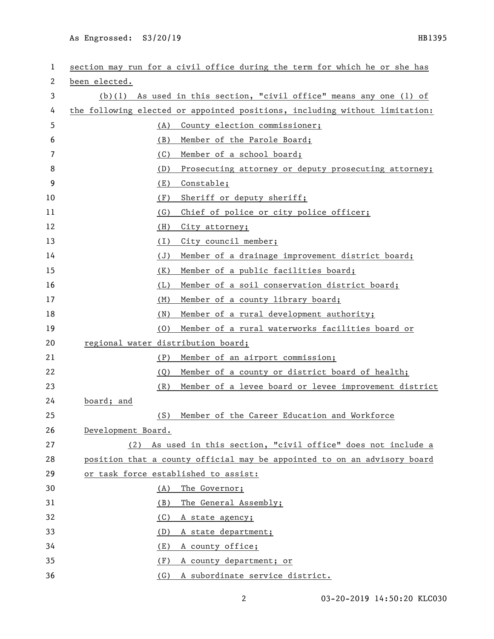As Engrossed: S3/20/19 HB1395

| 1  | section may run for a civil office during the term for which he or she has  |  |  |
|----|-----------------------------------------------------------------------------|--|--|
| 2  | been elected.                                                               |  |  |
| 3  | (b)(1) As used in this section, "civil office" means any one (1) of         |  |  |
| 4  | the following elected or appointed positions, including without limitation: |  |  |
| 5  | County election commissioner;<br>(A)                                        |  |  |
| 6  | Member of the Parole Board;<br>(B)                                          |  |  |
| 7  | (C)<br>Member of a school board;                                            |  |  |
| 8  | (D)<br>Prosecuting attorney or deputy prosecuting attorney;                 |  |  |
| 9  | (E)<br>Constable;                                                           |  |  |
| 10 | (F)<br>Sheriff or deputy sheriff;                                           |  |  |
| 11 | Chief of police or city police officer;<br>(G)                              |  |  |
| 12 | (H)<br>City attorney;                                                       |  |  |
| 13 | (I)<br>City council member;                                                 |  |  |
| 14 | Member of a drainage improvement district board;<br>(J)                     |  |  |
| 15 | Member of a public facilities board;<br>(K)                                 |  |  |
| 16 | Member of a soil conservation district board;<br>(L)                        |  |  |
| 17 | Member of a county library board;<br>(M)                                    |  |  |
| 18 | Member of a rural development authority;<br>(N)                             |  |  |
| 19 | Member of a rural waterworks facilities board or<br>(0)                     |  |  |
| 20 | regional water distribution board;                                          |  |  |
| 21 | Member of an airport commission;<br>(P)                                     |  |  |
| 22 | Member of a county or district board of health;<br>(Q)                      |  |  |
| 23 | Member of a levee board or levee improvement district<br>(R)                |  |  |
| 24 | board; and                                                                  |  |  |
| 25 | Member of the Career Education and Workforce<br>(S)                         |  |  |
| 26 | Development Board.                                                          |  |  |
| 27 | (2) As used in this section, "civil office" does not include a              |  |  |
| 28 | position that a county official may be appointed to on an advisory board    |  |  |
| 29 | or task force established to assist:                                        |  |  |
| 30 | The Governor;<br>(A)                                                        |  |  |
| 31 | The General Assembly;<br>(B)                                                |  |  |
| 32 | (C)<br>A state agency;                                                      |  |  |
| 33 | A state department;<br>(D)                                                  |  |  |
| 34 | A county office;<br>(E)                                                     |  |  |
| 35 | A county department; or<br>(F)                                              |  |  |
| 36 | (G) A subordinate service district.                                         |  |  |